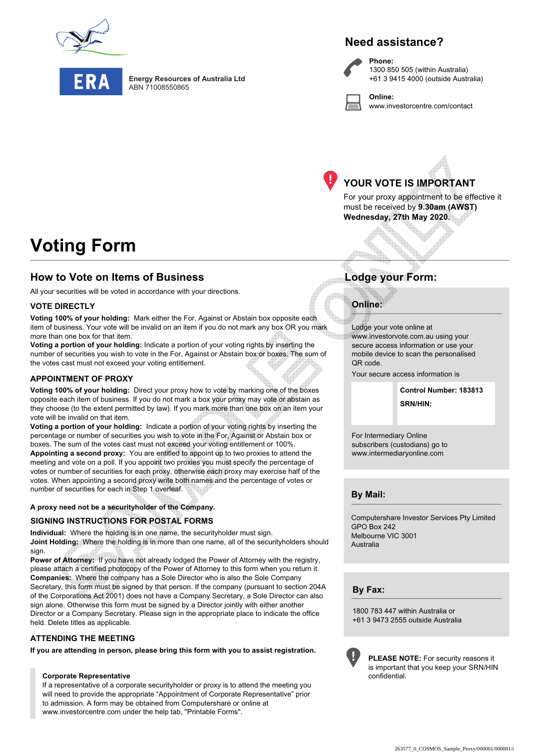

**Energy Resources of Australia Ltd** ABN 71008550865

## **Need assistance?**

**Phone:** 1300 850 505 (within Australia) +61 3 9415 4000 (outside Australia)

**Online:** www.investorcentre.com/contact



# **YOUR VOTE IS IMPORTANT**

For your proxy appointment to be effective it must be received by **9.30am (AWST) Wednesday, 27th May 2020.**

# **Voting Form**

## **How to Vote on Items of Business Lodge your Form:**

All your securities will be voted in accordance with your directions.

#### **VOTE DIRECTLY**

**Voting 100% of your holding:** Mark either the For, Against or Abstain box opposite each item of business. Your vote will be invalid on an item if you do not mark any box OR you mark more than one box for that item.

**Voting a portion of your holding:** Indicate a portion of your voting rights by inserting the number of securities you wish to vote in the For, Against or Abstain box or boxes. The sum of the votes cast must not exceed your voting entitlement.

### **APPOINTMENT OF PROXY**

**Voting 100% of your holding:** Direct your proxy how to vote by marking one of the boxes opposite each item of business. If you do not mark a box your proxy may vote or abstain as they choose (to the extent permitted by law). If you mark more than one box on an item your vote will be invalid on that item.

**Voting a portion of your holding:** Indicate a portion of your voting rights by inserting the percentage or number of securities you wish to vote in the For, Against or Abstain box or boxes. The sum of the votes cast must not exceed your voting entitlement or 100%. **Appointing a second proxy:** You are entitled to appoint up to two proxies to attend the meeting and vote on a poll. If you appoint two proxies you must specify the percentage of votes or number of securities for each proxy, otherwise each proxy may exercise half of the votes. When appointing a second proxy write both names and the percentage of votes or number of securities for each in Step 1 overleaf.

#### **A proxy need not be a securityholder of the Company.**

#### **SIGNING INSTRUCTIONS FOR POSTAL FORMS**

**Individual:** Where the holding is in one name, the securityholder must sign. **Joint Holding:** Where the holding is in more than one name, all of the securityholders should sign.

**Power of Attorney:** If you have not already lodged the Power of Attorney with the registry, please attach a certified photocopy of the Power of Attorney to this form when you return it. **Companies:** Where the company has a Sole Director who is also the Sole Company Secretary, this form must be signed by that person. If the company (pursuant to section 204A of the Corporations Act 2001) does not have a Company Secretary, a Sole Director can also sign alone. Otherwise this form must be signed by a Director jointly with either another Director or a Company Secretary. Please sign in the appropriate place to indicate the office held. Delete titles as applicable.

#### **ATTENDING THE MEETING**

**If you are attending in person, please bring this form with you to assist registration.**

#### **Corporate Representative**

If a representative of a corporate securityholder or proxy is to attend the meeting you will need to provide the appropriate "Appointment of Corporate Representative" prior to admission. A form may be obtained from Computershare or online at www.investorcentre.com under the help tab, "Printable Forms".

### **Online:**

Lodge your vote online at www.investorvote.com.au using your secure access information or use your mobile device to scan the personalised QR code.

Your secure access information is

**SRN/HIN: Control Number: 183813**

For Intermediary Online subscribers (custodians) go to www.intermediaryonline.com

**By Mail:**

Computershare Investor Services Pty Limited GPO Box 242 Melbourne VIC 3001 Australia

**By Fax:**

1800 783 447 within Australia or +61 3 9473 2555 outside Australia



**PLEASE NOTE:** For security reasons it is important that you keep your SRN/HIN confidential.